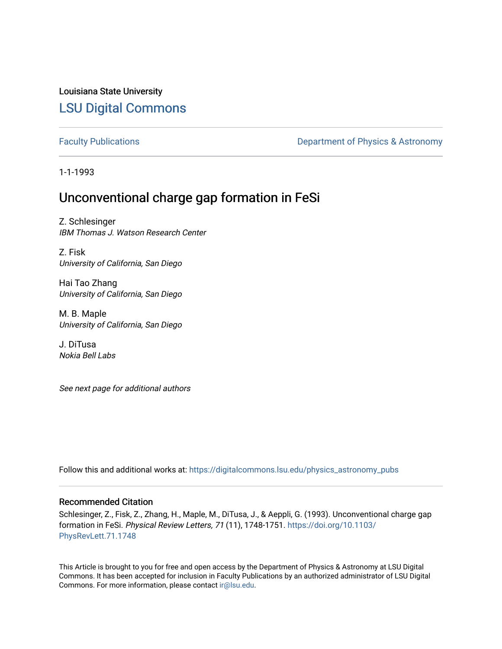Louisiana State University [LSU Digital Commons](https://digitalcommons.lsu.edu/)

[Faculty Publications](https://digitalcommons.lsu.edu/physics_astronomy_pubs) **Exercise 2 and Table 2 and Table 2 and Table 2 and Table 2 and Table 2 and Table 2 and Table 2 and Table 2 and Table 2 and Table 2 and Table 2 and Table 2 and Table 2 and Table 2 and Table 2 and Table** 

1-1-1993

## Unconventional charge gap formation in FeSi

Z. Schlesinger IBM Thomas J. Watson Research Center

Z. Fisk University of California, San Diego

Hai Tao Zhang University of California, San Diego

M. B. Maple University of California, San Diego

J. DiTusa Nokia Bell Labs

See next page for additional authors

Follow this and additional works at: [https://digitalcommons.lsu.edu/physics\\_astronomy\\_pubs](https://digitalcommons.lsu.edu/physics_astronomy_pubs?utm_source=digitalcommons.lsu.edu%2Fphysics_astronomy_pubs%2F1518&utm_medium=PDF&utm_campaign=PDFCoverPages) 

### Recommended Citation

Schlesinger, Z., Fisk, Z., Zhang, H., Maple, M., DiTusa, J., & Aeppli, G. (1993). Unconventional charge gap formation in FeSi. Physical Review Letters, 71 (11), 1748-1751. [https://doi.org/10.1103/](https://doi.org/10.1103/PhysRevLett.71.1748) [PhysRevLett.71.1748](https://doi.org/10.1103/PhysRevLett.71.1748)

This Article is brought to you for free and open access by the Department of Physics & Astronomy at LSU Digital Commons. It has been accepted for inclusion in Faculty Publications by an authorized administrator of LSU Digital Commons. For more information, please contact [ir@lsu.edu](mailto:ir@lsu.edu).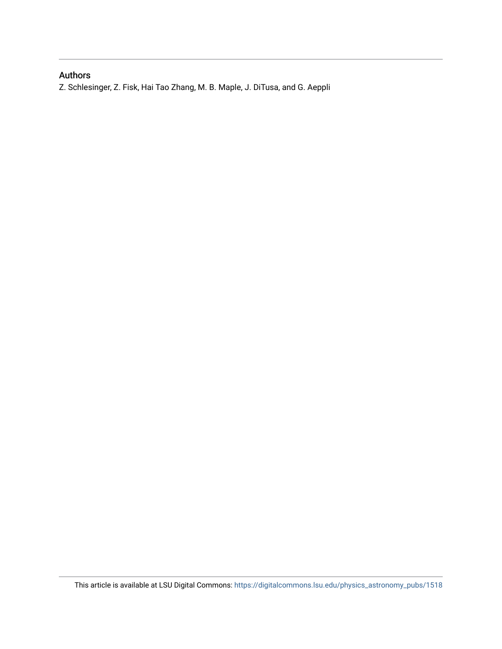### Authors

Z. Schlesinger, Z. Fisk, Hai Tao Zhang, M. B. Maple, J. DiTusa, and G. Aeppli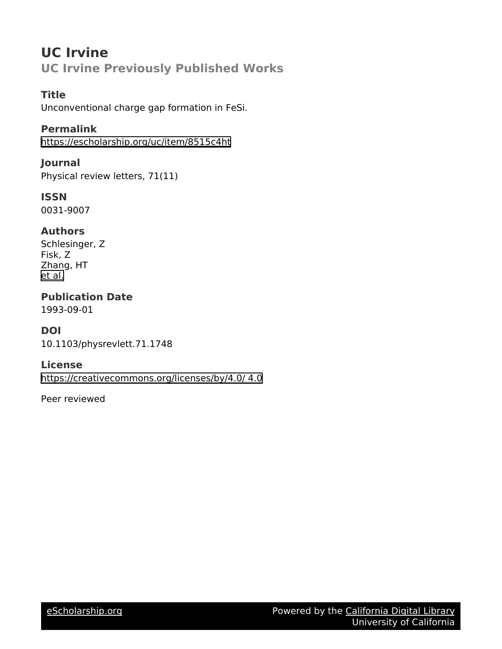# **UC Irvine UC Irvine Previously Published Works**

### **Title**

Unconventional charge gap formation in FeSi.

### **Permalink**

<https://escholarship.org/uc/item/8515c4ht>

### **Journal**

Physical review letters, 71(11)

### **ISSN** 0031-9007

### **Authors**

Schlesinger, Z Fisk, Z Zhang, HT [et al.](https://escholarship.org/uc/item/8515c4ht#author)

# **Publication Date**

1993-09-01

## **DOI**

10.1103/physrevlett.71.1748

### **License**

[https://creativecommons.org/licenses/by/4.0/ 4.0](https://creativecommons.org/licenses/https://creativecommons.org/licenses/by/4.0//4.0)

Peer reviewed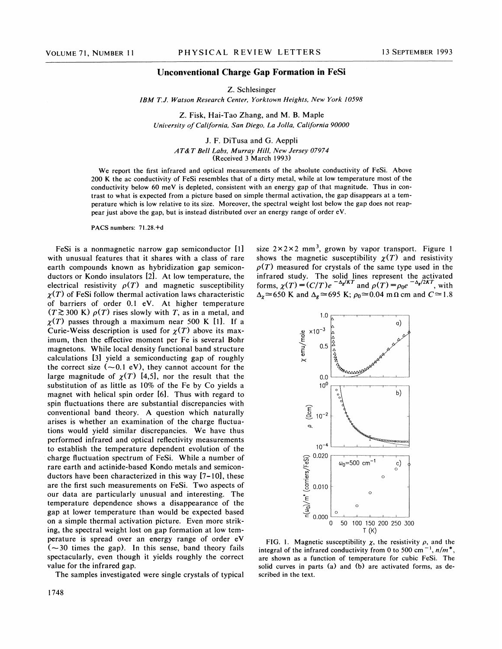#### Unconventional Charge Gap Formation in FeSi

Z. Schlesinger

IBM T.J. Watson Research Center, Yorktown Heights, New York 10598

Z. Fisk, Hai-Tao Zhang, and M. B. Maple University of California, San Diego, La Jolla, California 90000

> J. F. DiTusa and G. Aeppli AT&T Bell Labs, Murray Hill, New Jersey 07974 (Received 3 March 1993)

We report the first infrared and optical measurements of the absolute conductivity of FeSi. Above 200 K the ac conductivity of FeSi resembles that of a dirty metal, while at low temperature most of the conductivity below 60 meV is depleted, consistent with an energy gap of that magnitude. Thus in contrast to what is expected from a picture based on simple thermal activation, the gap disappears at a temperature which is low relative to its size. Moreover, the spectral weight lost below the gap does not reappear just above the gap, but is instead distributed over an energy range of order eV.

PACS numbers: 71.28.+d

FeSi is a nonmagnetic narrow gap semiconductor [1] with unusual features that it shares with a class of rare earth compounds known as hybridization gap semiconductors or Kondo insulators [2]. At low temperature, the electrical resistivity  $\rho(T)$  and magnetic susceptibility  $\gamma(T)$  of FeSi follow thermal activation laws characteristic of barriers of order 0.1 eV. At higher temperature  $(T \gtrsim 300 \text{ K}) \rho(T)$  rises slowly with T, as in a metal, and  $\chi(T)$  passes through a maximum near 500 K [1]. If a Curie-Weiss description is used for  $\chi(T)$  above its maximum, then the effective moment per Fe is several Bohr magnetons. While local density functional band structure calculations [3] yield a semiconducting gap of roughly the correct size  $(-0.1 \text{ eV})$ , they cannot account for the large magnitude of  $\chi(T)$  [4,5], nor the result that the substitution of as little as 10% of the Fe by Co yields a magnet with helical spin order [6]. Thus with regard to spin fluctuations there are substantial discrepancies with conventional band theory. A question which naturally arises is whether an examination of the charge fluctuations would yield similar discrepancies. We have thus performed infrared and optical reflectivity measurements to establish the temperature dependent evolution of the charge fluctuation spectrum of FeSi. While a number of rare earth and actinide-based Kondo metals and semiconductors have been characterized in this way  $[7-10]$ , these are the first such measurements on FeSi. Two aspects of our data are particularly unusual and interesting. The temperature dependence shows a disappearance of the gap at lower temperature than would be expected based on a simple thermal activation picture. Even more striking, the spectral weight lost on gap formation at low temperature is spread over an energy range of order eV  $(-30$  times the gap). In this sense, band theory fails spectacularly, even though it yields roughly the correct value for the infrared gap.

The samples investigated were single crystals of typical

size  $2 \times 2 \times 2$  mm<sup>3</sup>, grown by vapor transport. Figure 1 shows the magnetic susceptibility  $\chi(T)$  and resistivity  $\rho(T)$  measured for crystals of the same type used in the infrared study. The solid lines represent the activated shows the magnetic susceptibility  $\chi(T)$  and resistivity  $\rho(T)$  measured for crystals of the same type used in the nfrared study. The solid lines represent the activated orms,  $\chi(T) = (C/T)e^{-\Delta_{\chi}/KT}$  and  $\rho(T) = \rho_0 e^{-\Delta_{\chi}/2KT$ 



FIG. 1. Magnetic susceptibility  $\chi$ , the resistivity  $\rho$ , and the integral of the infrared conductivity from 0 to 500 cm<sup>-1</sup>,  $n/m^*$ , are shown as a function of temperature for cubic FeSi. The solid curves in parts (a) and (b) are activated forms, as described in the text.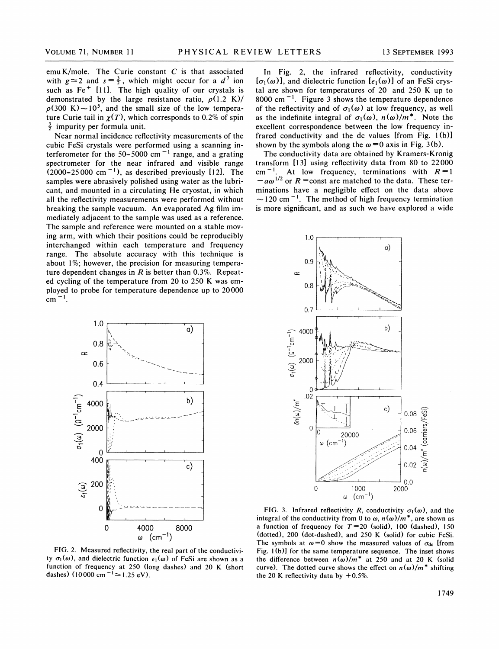emu K/mole. The Curie constant  $C$  is that associated with  $g \approx 2$  and  $s = \frac{3}{2}$ , which might occur for a  $d^7$  ion such as  $Fe<sup>+</sup>$  [11]. The high quality of our crystals is demonstrated by the large resistance ratio,  $\rho(1.2 K)/$  $\rho(300 \text{ K})$  ~ 10<sup>5</sup>, and the small size of the low temperature Curie tail in  $\chi(T)$ , which corresponds to 0.2% of spin  $\frac{3}{2}$  impurity per formula unit.

Near normal incidence reflectivity measurements of the cubic FeSi crystals were performed using a scanning interferometer for the 50–5000 cm<sup>-1</sup> range, and a grating spectrometer for the near infrared and visible range  $(2000-25000 \text{ cm}^{-1})$ , as described previously [12]. The samples were abrasively polished using water as the lubricant, and mounted in a circulating He cryostat, in which all the reflectivity measurements were performed without breaking the sample vacuum. An evaporated Ag film immediately adjacent to the sample was used as a reference. The sample and reference were mounted on a stable moving arm, with which their positions could be reproducibly interchanged within each temperature and frequency range. The absolute accuracy with this technique is about 1%, however, the precision for measuring temperature dependent changes in  $R$  is better than 0.3%. Repeated cycling of the temperature from 20 to 250 K was employed to probe for temperature dependence up to 20000  $cm^{-1}$ .



FIG. 2. Measured reflectivity, the real part of the conductivity  $\sigma_1(\omega)$ , and dielectric function  $\epsilon_1(\omega)$  of FeSi are shown as a function of frequency at 250 (long dashes) and 20 K (short dashes) (10000 cm  $^{-1} \approx 1.25$  eV).

In Fig. 2, the infrared reflectivity, conductivity  $[\sigma_1(\omega)]$ , and dielectric function  $[\epsilon_1(\omega)]$  of an FeSi crystal are shown for temperatures of 20 and 250 K up to 8000 cm $^{-1}$ . Figure 3 shows the temperature dependence of the reflectivity and of  $\sigma_1(\omega)$  at low frequency, as well as the indefinite integral of  $\sigma_1(\omega)$ ,  $n(\omega)/m^*$ . Note the excellent correspondence between the low frequency infrared conductivity and the dc values [from Fig. 1(b)] shown by the symbols along the  $\omega = 0$  axis in Fig. 3(b).

The conductivity data are obtained by Kramers-Kronig transform [13] using reflectivity data from 80 to 22000 cm<sup>-1</sup>. At low frequency, terminations with  $R=1$  $-a\omega^{1/2}$  or  $R$  = const are matched to the data. These ter-<br>minations have a negligible effect on the data above  $\sim$ 120 cm<sup>-1</sup>. The method of high frequency termination is more significant, and as such we have explored a wide



FIG. 3. Infrared reflectivity R, conductivity  $\sigma_1(\omega)$ , and the integral of the conductivity from 0 to  $\omega$ ,  $n(\omega)/m^*$ , are shown as a function of frequency for  $T=20$  (solid), 100 (dashed), 150 (dotted), 200 (dot-dashed), and 250 K (solid) for cubic FeSi. The symbols at  $\omega=0$  show the measured values of  $\sigma_{dc}$  [from Fig. 1(b)] for the same temperature sequence. The inset shows the difference between  $n(\omega)/m^*$  at 250 and at 20 K (solid curve). The dotted curve shows the effect on  $n(\omega)/m^*$  shifting the 20 K reflectivity data by  $+0.5\%$ .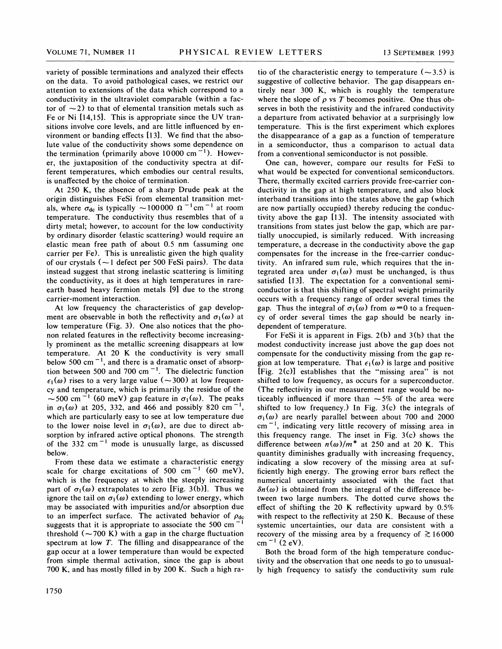variety of possible terminations and analyzed their effects on the data. To avoid pathological cases, we restrict our attention to extensions of the data which correspond to a conductivity in the ultraviolet comparable (within a factor of  $\sim$  2) to that of elemental transition metals such as Fe or Ni [14,15]. This is appropriate since the UV transitions involve core levels, and are little influenced by environment or banding effects [13]. We find that the absolute value of the conductivity shows some dependence on the termination (primarily above 10000 cm $^{-1}$ ). However, the juxtaposition of the conductivity spectra at different temperatures, which embodies our central results, is unaffected by the choice of termination.

At 250 K, the absence of a sharp Drude peak at the origin distinguishes FeSi from elemental transition metbright distinguishes Fest from elemental transition increases, where  $\sigma_{dc}$  is typically  $\sim 100000 \Omega^{-1}$  cm<sup>-1</sup> at room temperature. The conductivity thus resembles that of a dirty metal; however, to account for the low conductivity by ordinary disorder (elastic scattering) would require an elastic mean free path of about 0.5 nm (assuming one carrier per Fe). This is unrealistic given the high quality of our crystals  $(-1)$  defect per 500 FeSi pairs). The data instead suggest that strong inelastic scattering is limiting the conductivity, as it does at high temperatures in rareearth based heavy fermion metals [9] due to the strong carrier-moment interaction.

At low frequency the characteristics of gap development are observable in both the reflectivity and  $\sigma_1(\omega)$  at low temperature (Fig. 3). One also notices that the phonon related features in the reflectivity become increasingly prominent as the metallic screening disappears at low temperature. At 20 K the conductivity is very small below 500 cm $^{-1}$ , and there is a dramatic onset of absorption between 500 and 700 cm<sup> $-1$ </sup>. The dielectric function  $\epsilon_1(\omega)$  rises to a very large value ( $\sim$ 300) at low frequency and temperature, which is primarily the residue of the  $\sim$  500 cm<sup>-1</sup> (60 meV) gap feature in  $\sigma_1(\omega)$ . The peaks in  $\sigma_1(\omega)$  at 205, 332, and 466 and possibly 820 cm<sup>-1</sup>, which are particularly easy to see at low temperature due to the lower noise level in  $\sigma_1(\omega)$ , are due to direct absorption by infrared active optical phonons. The strength of the 332 cm<sup> $-1$ </sup> mode is unusually large, as discussed below.

From these data we estimate a characteristic energy scale for charge excitations of 500 cm<sup>-1</sup> (60 meV), which is the frequency at which the steeply increasing part of  $\sigma_1(\omega)$  extrapolates to zero [Fig. 3(b)]. Thus we ignore the tail on  $\sigma_1(\omega)$  extending to lower energy, which may be associated with impurities and/or absorption due to an imperfect surface. The activated behavior of  $\rho_{\text{dc}}$ suggests that it is appropriate to associate the 500 cm<sup>-</sup> threshold  $(-700 \text{ K})$  with a gap in the charge fluctuation spectrum at low T. The filling and disappearance of the gap occur at a lower temperature than would be expected from simple thermal activation, since the gap is about 700 K, and has mostly filled in by 200 K. Such a high ratio of the characteristic energy to temperature  $(-3.5)$  is suggestive of collective behavior. The gap disappears entirely near 300 K, which is roughly the temperature where the slope of  $\rho$  vs T becomes positive. One thus observes in both the resistivity and the infrared conductivity a departure from activated behavior at a surprisingly low temperature. This is the first experiment which explores the disappearance of a gap as a function of temperature in a semiconductor, thus a comparison to actual data from a conventional semiconductor is not possible.

One can, however, compare our results for FeSi to what would be expected for conventional semiconductors. There, thermally excited carriers provide free-carrier conductivity in the gap at high temperature, and also block interband transitions into the states above the gap (which are now partially occupied) thereby reducing the conductivity above the gap [13]. The intensity associated with transitions from states just below the gap, which are partially unoccupied, is similarly reduced. With increasing temperature, a decrease in the conductivity above the gap compensates for the increase in the free-carrier conductivity. An infrared sum rule, which requires that the integrated area under  $\sigma_1(\omega)$  must be unchanged, is thus satisfied [13]. The expectation for a conventional semiconductor is that this shifting of spectral weight primarily occurs with a frequency range of order several times the gap. Thus the integral of  $\sigma_1(\omega)$  from  $\omega = 0$  to a frequency of order several times the gap should be nearly independent of temperature.

For FeSi it is apparent in Figs. 2(b) and 3(b) that the modest conductivity increase just above the gap does not compensate for the conductivity missing from the gap region at low temperature. That  $\epsilon_1(\omega)$  is large and positive [Fig. 2(c)] establishes that the "missing area" is not shifted to low frequency, as occurs for a superconductor. (The reflectivity in our measurement range would be noticeably influenced if more than  $\sim$  5% of the area were shifted to low frequency.) In Fig.  $3(c)$  the integrals of  $\sigma_1(\omega)$  are nearly parallel between about 700 and 2000  $cm^{-1}$ , indicating very little recovery of missing area in this frequency range. The inset in Fig. 3(c) shows the difference between  $n(\omega)/m^*$  at 250 and at 20 K. This quantity diminishes gradually with increasing frequency, indicating a slow recovery of the missing area at sufficiently high energy. The growing error bars reflect the numerical uncertainty associated with the fact that  $\delta n(\omega)$  is obtained from the integral of the difference between two large numbers. The dotted curve shows the effect of shifting the 20 K reflectivity upward by  $0.5\%$ with respect to the reflectivity at 250 K. Because of these systemic uncertainties, our data are consistent with a recovery of the missing area by a frequency of  $\gtrsim 16000$  $cm^{-1}$  (2 eV).

Both the broad form of the high temperature conductivity and the observation that one needs to go to unusually high frequency to satisfy the conductivity sum rule